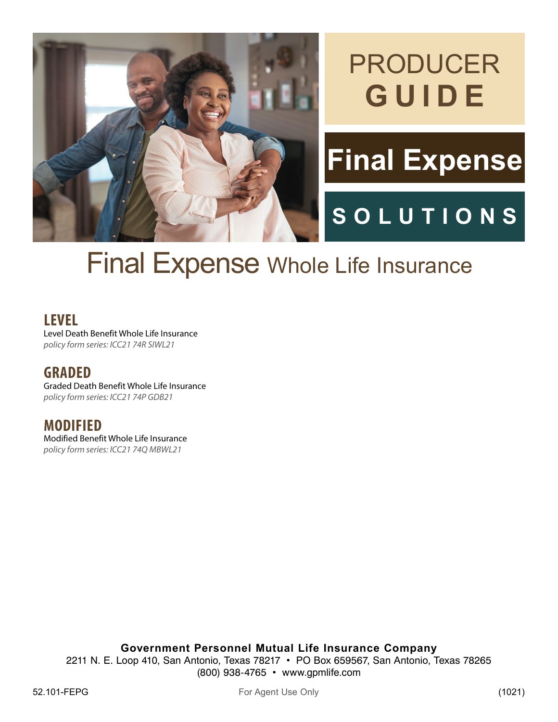

# PRODUCER **GUIDE**

# **Final Expense**

## **SOLUTIONS**

# Final Expense Whole Life Insurance

**LEVEL**

Level Death Benefit Whole Life Insurance policy form series: ICC21 74R SIWL21

**GRADED**

Graded Death Benefit Whole Life Insurance policy form series: ICC21 74P GDB21

**MODIFIED** Modified Benefit Whole Life Insurance policy form series: ICC21 74Q MBWL21

**Government Personnel Mutual Life Insurance Company**

2211 N. E. Loop 410, San Antonio, Texas 78217 • PO Box 659567, San Antonio, Texas 78265 (800) 938-4765 • www.gpmlife.com

52.101-FEPG For Agent Use Only For Agent Use Only (1021)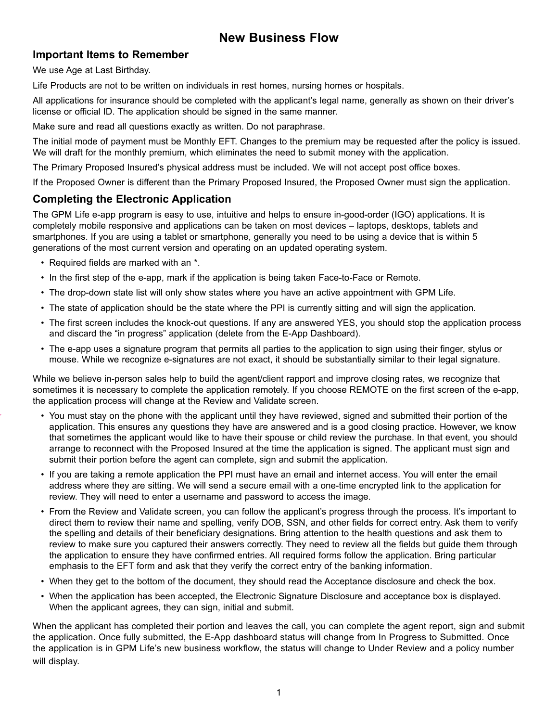## **New Business Flow**

## **Important Items to Remember**

We use Age at Last Birthday.

Life Products are not to be written on individuals in rest homes, nursing homes or hospitals.

All applications for insurance should be completed with the applicant's legal name, generally as shown on their driver's license or official ID. The application should be signed in the same manner.

Make sure and read all questions exactly as written. Do not paraphrase.

The initial mode of payment must be Monthly EFT. Changes to the premium may be requested after the policy is issued. We will draft for the monthly premium, which eliminates the need to submit money with the application.

The Primary Proposed Insured's physical address must be included. We will not accept post office boxes.

If the Proposed Owner is different than the Primary Proposed Insured, the Proposed Owner must sign the application.

## **Completing the Electronic Application**

The GPM Life e-app program is easy to use, intuitive and helps to ensure in-good-order (IGO) applications. It is completely mobile responsive and applications can be taken on most devices – laptops, desktops, tablets and smartphones. If you are using a tablet or smartphone, generally you need to be using a device that is within 5 generations of the most current version and operating on an updated operating system.

- Required fields are marked with an \*.
- In the first step of the e-app, mark if the application is being taken Face-to-Face or Remote.
- The drop-down state list will only show states where you have an active appointment with GPM Life.
- The state of application should be the state where the PPI is currently sitting and will sign the application.
- The first screen includes the knock-out questions. If any are answered YES, you should stop the application process and discard the "in progress" application (delete from the E-App Dashboard).
- The e-app uses a signature program that permits all parties to the application to sign using their finger, stylus or mouse. While we recognize e-signatures are not exact, it should be substantially similar to their legal signature.

While we believe in-person sales help to build the agent/client rapport and improve closing rates, we recognize that sometimes it is necessary to complete the application remotely. If you choose REMOTE on the first screen of the e-app, the application process will change at the Review and Validate screen.

- You must stay on the phone with the applicant until they have reviewed, signed and submitted their portion of the application. This ensures any questions they have are answered and is a good closing practice. However, we know that sometimes the applicant would like to have their spouse or child review the purchase. In that event, you should arrange to reconnect with the Proposed Insured at the time the application is signed. The applicant must sign and submit their portion before the agent can complete, sign and submit the application.
- If you are taking a remote application the PPI must have an email and internet access. You will enter the email address where they are sitting. We will send a secure email with a one-time encrypted link to the application for review. They will need to enter a username and password to access the image.
- From the Review and Validate screen, you can follow the applicant's progress through the process. It's important to direct them to review their name and spelling, verify DOB, SSN, and other fields for correct entry. Ask them to verify the spelling and details of their beneficiary designations. Bring attention to the health questions and ask them to review to make sure you captured their answers correctly. They need to review all the fields but guide them through the application to ensure they have confirmed entries. All required forms follow the application. Bring particular emphasis to the EFT form and ask that they verify the correct entry of the banking information.
- When they get to the bottom of the document, they should read the Acceptance disclosure and check the box.
- When the application has been accepted, the Electronic Signature Disclosure and acceptance box is displayed. When the applicant agrees, they can sign, initial and submit.

When the applicant has completed their portion and leaves the call, you can complete the agent report, sign and submit the application. Once fully submitted, the E-App dashboard status will change from In Progress to Submitted. Once the application is in GPM Life's new business workflow, the status will change to Under Review and a policy number will display.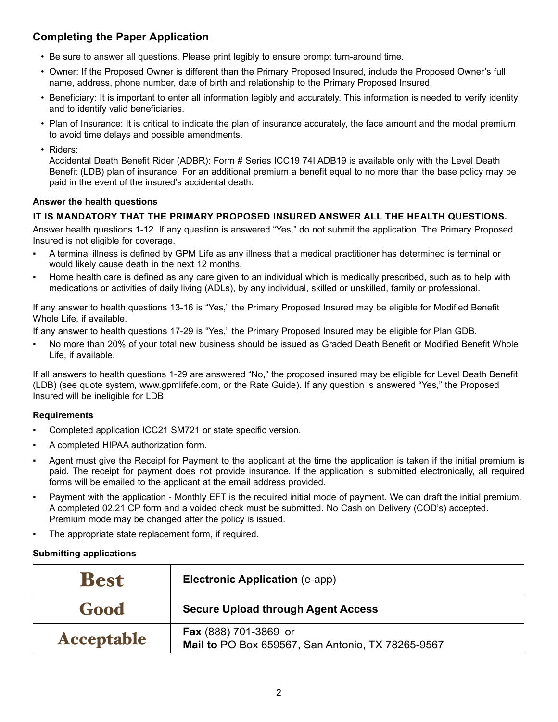## **Completing the Paper Application**

- Be sure to answer all questions. Please print legibly to ensure prompt turn-around time.
- Owner: If the Proposed Owner is different than the Primary Proposed Insured, include the Proposed Owner's full name, address, phone number, date of birth and relationship to the Primary Proposed Insured.
- Beneficiary: It is important to enter all information legibly and accurately. This information is needed to verify identity and to identify valid beneficiaries.
- Plan of Insurance: It is critical to indicate the plan of insurance accurately, the face amount and the modal premium to avoid time delays and possible amendments.
- Riders:

 Accidental Death Benefit Rider (ADBR): Form # Series ICC19 74I ADB19 is available only with the Level Death Benefit (LDB) plan of insurance. For an additional premium a benefit equal to no more than the base policy may be paid in the event of the insured's accidental death.

#### **Answer the health questions**

#### **IT IS MANDATORY THAT THE PRIMARY PROPOSED INSURED ANSWER ALL THE HEALTH QUESTIONS.**

Answer health questions 1-12. If any question is answered "Yes," do not submit the application. The Primary Proposed Insured is not eligible for coverage.

- A terminal illness is defined by GPM Life as any illness that a medical practitioner has determined is terminal or would likely cause death in the next 12 months.
- Home health care is defined as any care given to an individual which is medically prescribed, such as to help with medications or activities of daily living (ADLs), by any individual, skilled or unskilled, family or professional.

If any answer to health questions 13-16 is "Yes," the Primary Proposed Insured may be eligible for Modified Benefit Whole Life, if available.

If any answer to health questions 17-29 is "Yes," the Primary Proposed Insured may be eligible for Plan GDB.

No more than 20% of your total new business should be issued as Graded Death Benefit or Modified Benefit Whole Life, if available.

If all answers to health questions 1-29 are answered "No," the proposed insured may be eligible for Level Death Benefit (LDB) (see quote system, www.gpmlifefe.com, or the Rate Guide). If any question is answered "Yes," the Proposed Insured will be ineligible for LDB.

#### **Requirements**

- Completed application ICC21 SM721 or state specific version.
- A completed HIPAA authorization form.
- Agent must give the Receipt for Payment to the applicant at the time the application is taken if the initial premium is paid. The receipt for payment does not provide insurance. If the application is submitted electronically, all required forms will be emailed to the applicant at the email address provided.
- Payment with the application Monthly EFT is the required initial mode of payment. We can draft the initial premium. A completed 02.21 CP form and a voided check must be submitted. No Cash on Delivery (COD's) accepted. Premium mode may be changed after the policy is issued.
- The appropriate state replacement form, if required.

#### **Submitting applications**

| <b>Best</b>       | <b>Electronic Application (e-app)</b>                                      |  |  |  |  |
|-------------------|----------------------------------------------------------------------------|--|--|--|--|
| <b>Good</b>       | <b>Secure Upload through Agent Access</b>                                  |  |  |  |  |
| <b>Acceptable</b> | Fax (888) 701-3869 or<br>Mail to PO Box 659567, San Antonio, TX 78265-9567 |  |  |  |  |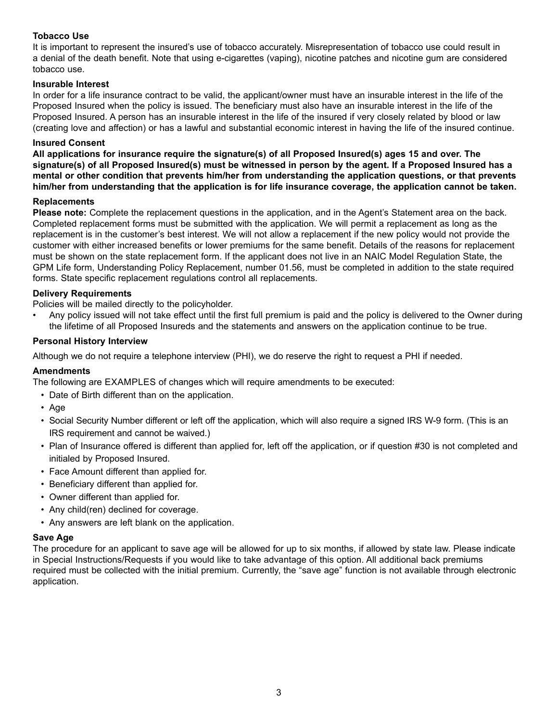#### **Tobacco Use**

It is important to represent the insured's use of tobacco accurately. Misrepresentation of tobacco use could result in a denial of the death benefit. Note that using e-cigarettes (vaping), nicotine patches and nicotine gum are considered tobacco use.

#### **Insurable Interest**

In order for a life insurance contract to be valid, the applicant/owner must have an insurable interest in the life of the Proposed Insured when the policy is issued. The beneficiary must also have an insurable interest in the life of the Proposed Insured. A person has an insurable interest in the life of the insured if very closely related by blood or law (creating love and affection) or has a lawful and substantial economic interest in having the life of the insured continue.

#### **Insured Consent**

**All applications for insurance require the signature(s) of all Proposed Insured(s) ages 15 and over. The signature(s) of all Proposed Insured(s) must be witnessed in person by the agent. If a Proposed Insured has a mental or other condition that prevents him/her from understanding the application questions, or that prevents him/her from understanding that the application is for life insurance coverage, the application cannot be taken.**

#### **Replacements**

**Please note:** Complete the replacement questions in the application, and in the Agent's Statement area on the back. Completed replacement forms must be submitted with the application. We will permit a replacement as long as the replacement is in the customer's best interest. We will not allow a replacement if the new policy would not provide the customer with either increased benefits or lower premiums for the same benefit. Details of the reasons for replacement must be shown on the state replacement form. If the applicant does not live in an NAIC Model Regulation State, the GPM Life form, Understanding Policy Replacement, number 01.56, must be completed in addition to the state required forms. State specific replacement regulations control all replacements.

#### **Delivery Requirements**

Policies will be mailed directly to the policyholder.

• Any policy issued will not take effect until the first full premium is paid and the policy is delivered to the Owner during the lifetime of all Proposed Insureds and the statements and answers on the application continue to be true.

#### **Personal History Interview**

Although we do not require a telephone interview (PHI), we do reserve the right to request a PHI if needed.

#### **Amendments**

The following are EXAMPLES of changes which will require amendments to be executed:

- Date of Birth different than on the application.
- Age
- Social Security Number different or left off the application, which will also require a signed IRS W-9 form. (This is an IRS requirement and cannot be waived.)
- Plan of Insurance offered is different than applied for, left off the application, or if question #30 is not completed and initialed by Proposed Insured.
- Face Amount different than applied for.
- Beneficiary different than applied for.
- Owner different than applied for.
- Any child(ren) declined for coverage.
- Any answers are left blank on the application.

#### **Save Age**

The procedure for an applicant to save age will be allowed for up to six months, if allowed by state law. Please indicate in Special Instructions/Requests if you would like to take advantage of this option. All additional back premiums required must be collected with the initial premium. Currently, the "save age" function is not available through electronic application.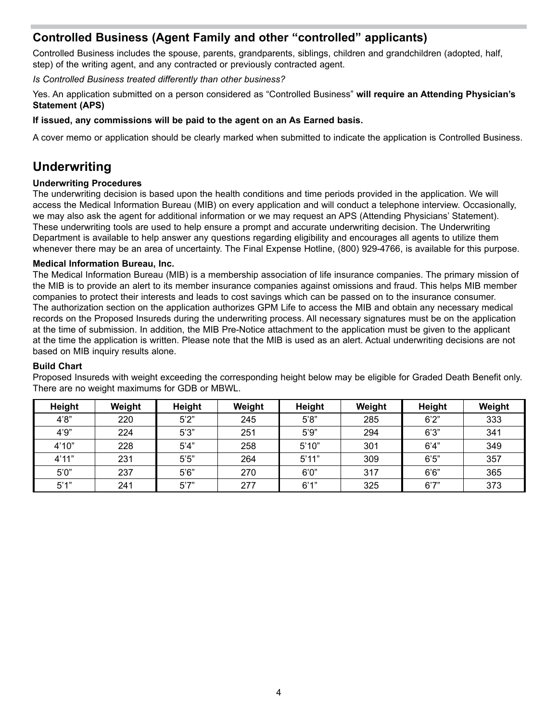## **Controlled Business (Agent Family and other "controlled" applicants)**

Controlled Business includes the spouse, parents, grandparents, siblings, children and grandchildren (adopted, half, step) of the writing agent, and any contracted or previously contracted agent.

*Is Controlled Business treated differently than other business?*

Yes. An application submitted on a person considered as "Controlled Business" **will require an Attending Physician's Statement (APS)** 

#### **If issued, any commissions will be paid to the agent on an As Earned basis.**

A cover memo or application should be clearly marked when submitted to indicate the application is Controlled Business.

## **Underwriting**

#### **Underwriting Procedures**

The underwriting decision is based upon the health conditions and time periods provided in the application. We will access the Medical Information Bureau (MIB) on every application and will conduct a telephone interview. Occasionally, we may also ask the agent for additional information or we may request an APS (Attending Physicians' Statement). These underwriting tools are used to help ensure a prompt and accurate underwriting decision. The Underwriting Department is available to help answer any questions regarding eligibility and encourages all agents to utilize them whenever there may be an area of uncertainty. The Final Expense Hotline, (800) 929-4766, is available for this purpose.

#### **Medical Information Bureau, Inc.**

The Medical Information Bureau (MIB) is a membership association of life insurance companies. The primary mission of the MIB is to provide an alert to its member insurance companies against omissions and fraud. This helps MIB member companies to protect their interests and leads to cost savings which can be passed on to the insurance consumer. The authorization section on the application authorizes GPM Life to access the MIB and obtain any necessary medical records on the Proposed Insureds during the underwriting process. All necessary signatures must be on the application at the time of submission. In addition, the MIB Pre-Notice attachment to the application must be given to the applicant at the time the application is written. Please note that the MIB is used as an alert. Actual underwriting decisions are not based on MIB inquiry results alone.

#### **Build Chart**

| Height | Weight | Height | Weight | Height | Weight | Height | Weight |
|--------|--------|--------|--------|--------|--------|--------|--------|
| 4'8"   | 220    | 5'2"   | 245    | 5'8"   | 285    | 6'2''  | 333    |
| 4'9''  | 224    | 5'3''  | 251    | 5'9''  | 294    | 6'3''  | 341    |
| 4'10"  | 228    | 5'4"   | 258    | 5'10"  | 301    | 6'4"   | 349    |
| 4'11"  | 231    | 5'5"   | 264    | 5'11"  | 309    | 6'5''  | 357    |
| 5'0''  | 237    | 5'6''  | 270    | 6'0''  | 317    | 6'6''  | 365    |
| 5'1"   | 241    | 5'7"   | 277    | 6'1''  | 325    | 6'7''  | 373    |

Proposed Insureds with weight exceeding the corresponding height below may be eligible for Graded Death Benefit only. There are no weight maximums for GDB or MBWL.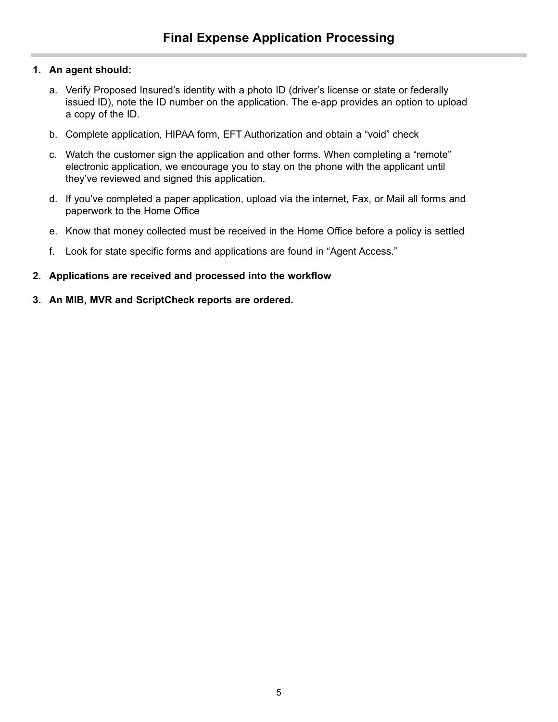### **1. An agent should:**

- a. Verify Proposed Insured's identity with a photo ID (driver's license or state or federally issued ID), note the ID number on the application. The e-app provides an option to upload a copy of the ID.
- b. Complete application, HIPAA form, EFT Authorization and obtain a "void" check
- c. Watch the customer sign the application and other forms. When completing a "remote" electronic application, we encourage you to stay on the phone with the applicant until they've reviewed and signed this application.
- d. If you've completed a paper application, upload via the internet, Fax, or Mail all forms and paperwork to the Home Office
- e. Know that money collected must be received in the Home Office before a policy is settled
- f. Look for state specific forms and applications are found in "Agent Access."
- **2. Applications are received and processed into the workflow**
- **3. An MIB, MVR and ScriptCheck reports are ordered.**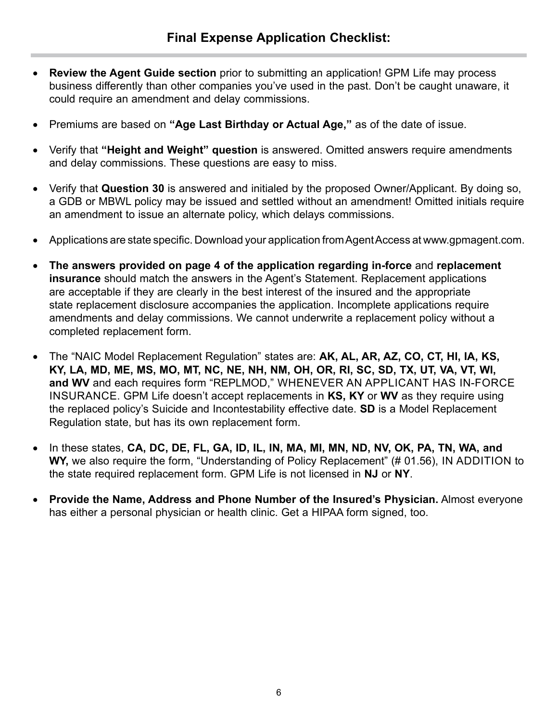- **Review the Agent Guide section** prior to submitting an application! GPM Life may process business differently than other companies you've used in the past. Don't be caught unaware, it could require an amendment and delay commissions.
- Premiums are based on **"Age Last Birthday or Actual Age,"** as of the date of issue.
- Verify that **"Height and Weight" question** is answered. Omitted answers require amendments and delay commissions. These questions are easy to miss.
- Verify that **Question 30** is answered and initialed by the proposed Owner/Applicant. By doing so, a GDB or MBWL policy may be issued and settled without an amendment! Omitted initials require an amendment to issue an alternate policy, which delays commissions.
- Applications are state specific. Download your application from Agent Access at www.gpmagent.com.
- **The answers provided on page 4 of the application regarding in-force** and **replacement insurance** should match the answers in the Agent's Statement. Replacement applications are acceptable if they are clearly in the best interest of the insured and the appropriate state replacement disclosure accompanies the application. Incomplete applications require amendments and delay commissions. We cannot underwrite a replacement policy without a completed replacement form.
- The "NAIC Model Replacement Regulation" states are: **AK, AL, AR, AZ, CO, CT, HI, IA, KS, KY, LA, MD, ME, MS, MO, MT, NC, NE, NH, NM, OH, OR, RI, SC, SD, TX, UT, VA, VT, WI, and WV** and each requires form "REPLMOD," WHENEVER AN APPLICANT HAS IN-FORCE INSURANCE. GPM Life doesn't accept replacements in **KS, KY** or **WV** as they require using the replaced policy's Suicide and Incontestability effective date. **SD** is a Model Replacement Regulation state, but has its own replacement form.
- In these states, CA, DC, DE, FL, GA, ID, IL, IN, MA, MI, MN, ND, NV, OK, PA, TN, WA, and WY, we also require the form, "Understanding of Policy Replacement" (# 01.56), IN ADDITION to the state required replacement form. GPM Life is not licensed in **NJ** or **NY**.
- **Provide the Name, Address and Phone Number of the Insured's Physician.** Almost everyone has either a personal physician or health clinic. Get a HIPAA form signed, too.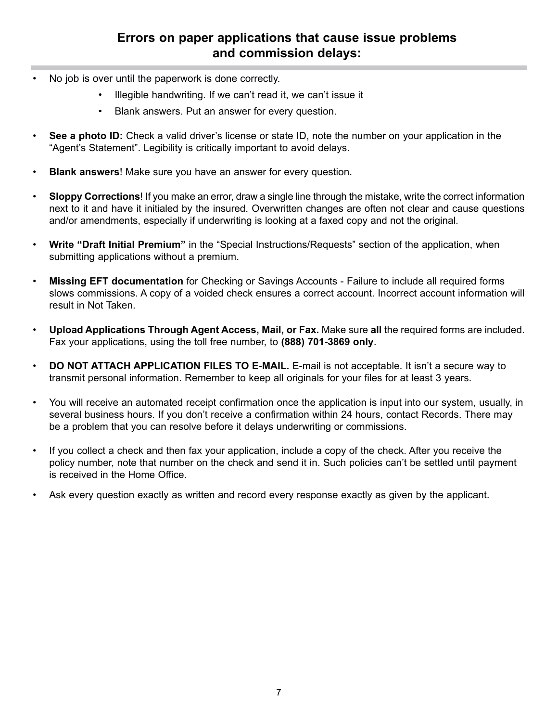## **Errors on paper applications that cause issue problems and commission delays:**

- No job is over until the paperwork is done correctly.
	- Illegible handwriting. If we can't read it, we can't issue it
	- Blank answers. Put an answer for every question.
- **See a photo ID:** Check a valid driver's license or state ID, note the number on your application in the "Agent's Statement". Legibility is critically important to avoid delays.
- **Blank answers**! Make sure you have an answer for every question.
- **Sloppy Corrections**! If you make an error, draw a single line through the mistake, write the correct information next to it and have it initialed by the insured. Overwritten changes are often not clear and cause questions and/or amendments, especially if underwriting is looking at a faxed copy and not the original.
- **Write "Draft Initial Premium"** in the "Special Instructions/Requests" section of the application, when submitting applications without a premium.
- **Missing EFT documentation** for Checking or Savings Accounts Failure to include all required forms slows commissions. A copy of a voided check ensures a correct account. Incorrect account information will result in Not Taken.
- **Upload Applications Through Agent Access, Mail, or Fax.** Make sure **all** the required forms are included. Fax your applications, using the toll free number, to **(888) 701-3869 only**.
- **DO NOT ATTACH APPLICATION FILES TO E-MAIL.** E-mail is not acceptable. It isn't a secure way to transmit personal information. Remember to keep all originals for your files for at least 3 years.
- You will receive an automated receipt confirmation once the application is input into our system, usually, in several business hours. If you don't receive a confirmation within 24 hours, contact Records. There may be a problem that you can resolve before it delays underwriting or commissions.
- If you collect a check and then fax your application, include a copy of the check. After you receive the policy number, note that number on the check and send it in. Such policies can't be settled until payment is received in the Home Office.
- Ask every question exactly as written and record every response exactly as given by the applicant.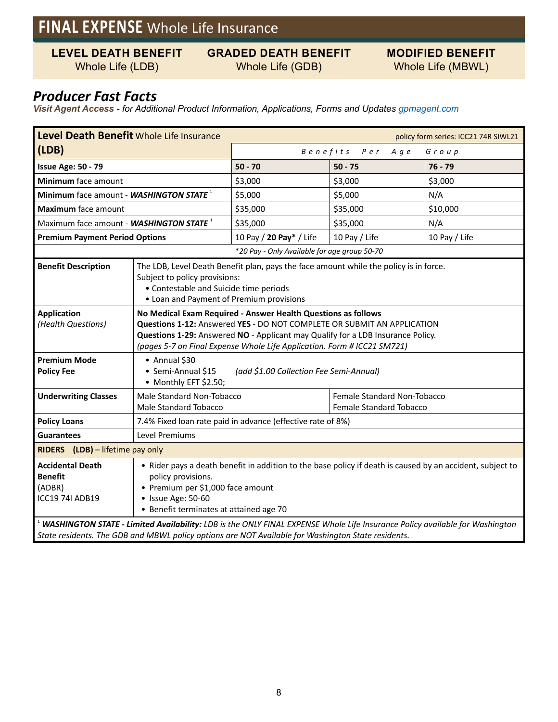## **FINAL EXPENSE** Whole Life Insurance

**LEVEL DEATH BENEFIT**

### **GRADED DEATH BENEFIT** Whole Life (GDB)

**MODIFIED BENEFIT** Whole Life (MBWL)

## Whole Life (LDB)

## *Producer Fast Facts*

*Visit Agent Access - for Additional Product Information, Applications, Forms and Updates gpmagent.com*

| Level Death Benefit Whole Life Insurance<br>policy form series: ICC21 74R SIWL21 |                                                                                                                                                                                                                                                                                                        |                                |                                                        |               |  |  |  |
|----------------------------------------------------------------------------------|--------------------------------------------------------------------------------------------------------------------------------------------------------------------------------------------------------------------------------------------------------------------------------------------------------|--------------------------------|--------------------------------------------------------|---------------|--|--|--|
| (LDB)                                                                            |                                                                                                                                                                                                                                                                                                        | Benefits Per<br>A g e<br>Group |                                                        |               |  |  |  |
| <b>Issue Age: 50 - 79</b>                                                        |                                                                                                                                                                                                                                                                                                        | $50 - 70$                      | $50 - 75$                                              | $76 - 79$     |  |  |  |
| Minimum face amount                                                              |                                                                                                                                                                                                                                                                                                        | \$3,000                        | \$3,000                                                | \$3,000       |  |  |  |
| Minimum face amount - WASHINGTON STATE <sup>1</sup>                              |                                                                                                                                                                                                                                                                                                        | \$5,000                        | \$5,000                                                | N/A           |  |  |  |
| <b>Maximum</b> face amount                                                       |                                                                                                                                                                                                                                                                                                        | \$35,000                       | \$35,000                                               | \$10,000      |  |  |  |
| Maximum face amount - WASHINGTON STATE <sup>1</sup>                              |                                                                                                                                                                                                                                                                                                        | \$35,000                       | \$35,000                                               | N/A           |  |  |  |
| <b>Premium Payment Period Options</b>                                            |                                                                                                                                                                                                                                                                                                        | 10 Pay / 20 Pay* / Life        | 10 Pay / Life                                          | 10 Pay / Life |  |  |  |
| *20 Pay - Only Available for age group 50-70                                     |                                                                                                                                                                                                                                                                                                        |                                |                                                        |               |  |  |  |
| <b>Benefit Description</b>                                                       | The LDB, Level Death Benefit plan, pays the face amount while the policy is in force.<br>Subject to policy provisions:<br>• Contestable and Suicide time periods<br>• Loan and Payment of Premium provisions                                                                                           |                                |                                                        |               |  |  |  |
| <b>Application</b><br>(Health Questions)                                         | No Medical Exam Required - Answer Health Questions as follows<br>Questions 1-12: Answered YES - DO NOT COMPLETE OR SUBMIT AN APPLICATION<br>Questions 1-29: Answered NO - Applicant may Qualify for a LDB Insurance Policy.<br>(pages 5-7 on Final Expense Whole Life Application. Form # ICC21 SM721) |                                |                                                        |               |  |  |  |
| <b>Premium Mode</b><br><b>Policy Fee</b>                                         | • Annual \$30<br>· Semi-Annual \$15<br>(add \$1.00 Collection Fee Semi-Annual)<br>• Monthly EFT \$2.50;                                                                                                                                                                                                |                                |                                                        |               |  |  |  |
| <b>Underwriting Classes</b>                                                      | Male Standard Non-Tobacco<br><b>Male Standard Tobacco</b>                                                                                                                                                                                                                                              |                                | Female Standard Non-Tobacco<br>Female Standard Tobacco |               |  |  |  |
| <b>Policy Loans</b>                                                              | 7.4% Fixed loan rate paid in advance (effective rate of 8%)                                                                                                                                                                                                                                            |                                |                                                        |               |  |  |  |
| <b>Guarantees</b>                                                                | Level Premiums                                                                                                                                                                                                                                                                                         |                                |                                                        |               |  |  |  |
| RIDERS (LDB) - lifetime pay only                                                 |                                                                                                                                                                                                                                                                                                        |                                |                                                        |               |  |  |  |
| <b>Accidental Death</b><br><b>Benefit</b><br>(ADBR)<br><b>ICC19 74I ADB19</b>    | • Rider pays a death benefit in addition to the base policy if death is caused by an accident, subject to<br>policy provisions.<br>• Premium per \$1,000 face amount<br>• Issue Age: 50-60<br>• Benefit terminates at attained age 70                                                                  |                                |                                                        |               |  |  |  |
|                                                                                  | WASHINGTON STATE - Limited Availability: LDB is the ONLY FINAL EXPENSE Whole Life Insurance Policy available for Washington<br>State residents. The GDB and MBWL policy options are NOT Available for Washington State residents.                                                                      |                                |                                                        |               |  |  |  |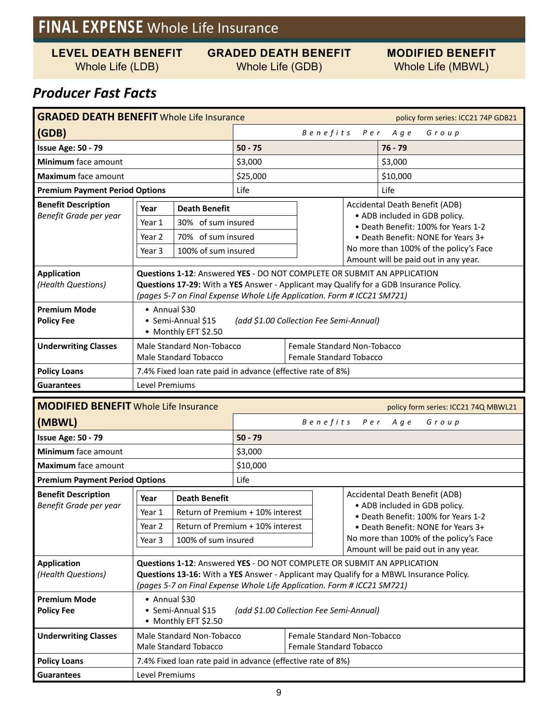## **FINAL EXPENSE** Whole Life Insurance

**LEVEL DEATH BENEFIT**

Whole Life (LDB)

### **GRADED DEATH BENEFIT** Whole Life (GDB)

**MODIFIED BENEFIT** Whole Life (MBWL)

## *Producer Fast Facts*

| <b>GRADED DEATH BENEFIT Whole Life Insurance</b><br>policy form series: ICC21 74P GDB21 |                                                                                                                                                                                                                                              |                      |                              |                                                               |                                      |                                                                                                                                              |  |  |  |
|-----------------------------------------------------------------------------------------|----------------------------------------------------------------------------------------------------------------------------------------------------------------------------------------------------------------------------------------------|----------------------|------------------------------|---------------------------------------------------------------|--------------------------------------|----------------------------------------------------------------------------------------------------------------------------------------------|--|--|--|
| (GDB)                                                                                   |                                                                                                                                                                                                                                              |                      | Benefits<br>Per Age<br>Group |                                                               |                                      |                                                                                                                                              |  |  |  |
| <b>Issue Age: 50 - 79</b>                                                               |                                                                                                                                                                                                                                              |                      | $50 - 75$                    |                                                               |                                      | $76 - 79$                                                                                                                                    |  |  |  |
| <b>Minimum</b> face amount                                                              |                                                                                                                                                                                                                                              |                      | \$3,000                      |                                                               |                                      | \$3,000                                                                                                                                      |  |  |  |
| Maximum face amount                                                                     |                                                                                                                                                                                                                                              |                      | \$25,000                     |                                                               |                                      | \$10,000                                                                                                                                     |  |  |  |
| <b>Premium Payment Period Options</b>                                                   |                                                                                                                                                                                                                                              |                      | Life                         |                                                               |                                      | Life                                                                                                                                         |  |  |  |
| <b>Benefit Description</b>                                                              | Year                                                                                                                                                                                                                                         | <b>Death Benefit</b> |                              |                                                               |                                      | Accidental Death Benefit (ADB)<br>• ADB included in GDB policy.<br>• Death Benefit: 100% for Years 1-2<br>• Death Benefit: NONE for Years 3+ |  |  |  |
| Benefit Grade per year                                                                  | Year 1                                                                                                                                                                                                                                       | 30% of sum insured   |                              |                                                               |                                      |                                                                                                                                              |  |  |  |
|                                                                                         | Year 2                                                                                                                                                                                                                                       | 70% of sum insured   |                              |                                                               |                                      |                                                                                                                                              |  |  |  |
|                                                                                         | Year 3                                                                                                                                                                                                                                       | 100% of sum insured  |                              | No more than 100% of the policy's Face                        |                                      |                                                                                                                                              |  |  |  |
|                                                                                         |                                                                                                                                                                                                                                              |                      |                              |                                                               | Amount will be paid out in any year. |                                                                                                                                              |  |  |  |
| <b>Application</b><br>(Health Questions)                                                | Questions 1-12: Answered YES - DO NOT COMPLETE OR SUBMIT AN APPLICATION<br>Questions 17-29: With a YES Answer - Applicant may Qualify for a GDB Insurance Policy.<br>(pages 5-7 on Final Expense Whole Life Application. Form # ICC21 SM721) |                      |                              |                                                               |                                      |                                                                                                                                              |  |  |  |
| <b>Premium Mode</b><br><b>Policy Fee</b>                                                | • Annual $$30$<br>• Semi-Annual \$15<br>(add \$1.00 Collection Fee Semi-Annual)<br>• Monthly EFT \$2.50                                                                                                                                      |                      |                              |                                                               |                                      |                                                                                                                                              |  |  |  |
| <b>Underwriting Classes</b>                                                             | Male Standard Non-Tobacco<br>Male Standard Tobacco                                                                                                                                                                                           |                      |                              | Female Standard Non-Tobacco<br><b>Female Standard Tobacco</b> |                                      |                                                                                                                                              |  |  |  |
| <b>Policy Loans</b>                                                                     | 7.4% Fixed loan rate paid in advance (effective rate of 8%)                                                                                                                                                                                  |                      |                              |                                                               |                                      |                                                                                                                                              |  |  |  |
| <b>Guarantees</b>                                                                       | Level Premiums                                                                                                                                                                                                                               |                      |                              |                                                               |                                      |                                                                                                                                              |  |  |  |

| <b>MODIFIED BENEFIT</b> Whole Life Insurance<br>policy form series: ICC21 74Q MBWL21 |                                                                                                                                                                                                                                               |                                  |           |                                |                                      |                                                                              |                                |  |       |  |
|--------------------------------------------------------------------------------------|-----------------------------------------------------------------------------------------------------------------------------------------------------------------------------------------------------------------------------------------------|----------------------------------|-----------|--------------------------------|--------------------------------------|------------------------------------------------------------------------------|--------------------------------|--|-------|--|
| (MBWL)                                                                               |                                                                                                                                                                                                                                               |                                  |           |                                | Benefits Per Age                     |                                                                              |                                |  | Group |  |
| <b>Issue Age: 50 - 79</b>                                                            |                                                                                                                                                                                                                                               |                                  | $50 - 79$ |                                |                                      |                                                                              |                                |  |       |  |
| Minimum face amount                                                                  |                                                                                                                                                                                                                                               |                                  | \$3,000   |                                |                                      |                                                                              |                                |  |       |  |
| Maximum face amount                                                                  |                                                                                                                                                                                                                                               |                                  | \$10,000  |                                |                                      |                                                                              |                                |  |       |  |
| <b>Premium Payment Period Options</b>                                                |                                                                                                                                                                                                                                               |                                  | Life      |                                |                                      |                                                                              |                                |  |       |  |
| <b>Benefit Description</b>                                                           | Year                                                                                                                                                                                                                                          | <b>Death Benefit</b>             |           |                                |                                      |                                                                              | Accidental Death Benefit (ADB) |  |       |  |
| Benefit Grade per year                                                               | Year 1                                                                                                                                                                                                                                        | Return of Premium + 10% interest |           |                                |                                      | • ADB included in GDB policy.<br>• Death Benefit: 100% for Years 1-2         |                                |  |       |  |
|                                                                                      | Year 2                                                                                                                                                                                                                                        | Return of Premium + 10% interest |           |                                |                                      | • Death Benefit: NONE for Years 3+<br>No more than 100% of the policy's Face |                                |  |       |  |
|                                                                                      | Year 3                                                                                                                                                                                                                                        | 100% of sum insured              |           |                                |                                      |                                                                              |                                |  |       |  |
|                                                                                      |                                                                                                                                                                                                                                               |                                  |           |                                | Amount will be paid out in any year. |                                                                              |                                |  |       |  |
| <b>Application</b><br>(Health Questions)                                             | Questions 1-12: Answered YES - DO NOT COMPLETE OR SUBMIT AN APPLICATION<br>Questions 13-16: With a YES Answer - Applicant may Qualify for a MBWL Insurance Policy.<br>(pages 5-7 on Final Expense Whole Life Application. Form # ICC21 SM721) |                                  |           |                                |                                      |                                                                              |                                |  |       |  |
| <b>Premium Mode</b><br><b>Policy Fee</b>                                             | $\bullet$ Annual \$30<br>• Semi-Annual \$15<br>(add \$1.00 Collection Fee Semi-Annual)<br>• Monthly EFT \$2.50                                                                                                                                |                                  |           |                                |                                      |                                                                              |                                |  |       |  |
| <b>Underwriting Classes</b>                                                          | Male Standard Non-Tobacco                                                                                                                                                                                                                     |                                  |           | Female Standard Non-Tobacco    |                                      |                                                                              |                                |  |       |  |
| Male Standard Tobacco                                                                |                                                                                                                                                                                                                                               |                                  |           | <b>Female Standard Tobacco</b> |                                      |                                                                              |                                |  |       |  |
| <b>Policy Loans</b>                                                                  | 7.4% Fixed loan rate paid in advance (effective rate of 8%)                                                                                                                                                                                   |                                  |           |                                |                                      |                                                                              |                                |  |       |  |
| <b>Guarantees</b>                                                                    | Level Premiums                                                                                                                                                                                                                                |                                  |           |                                |                                      |                                                                              |                                |  |       |  |